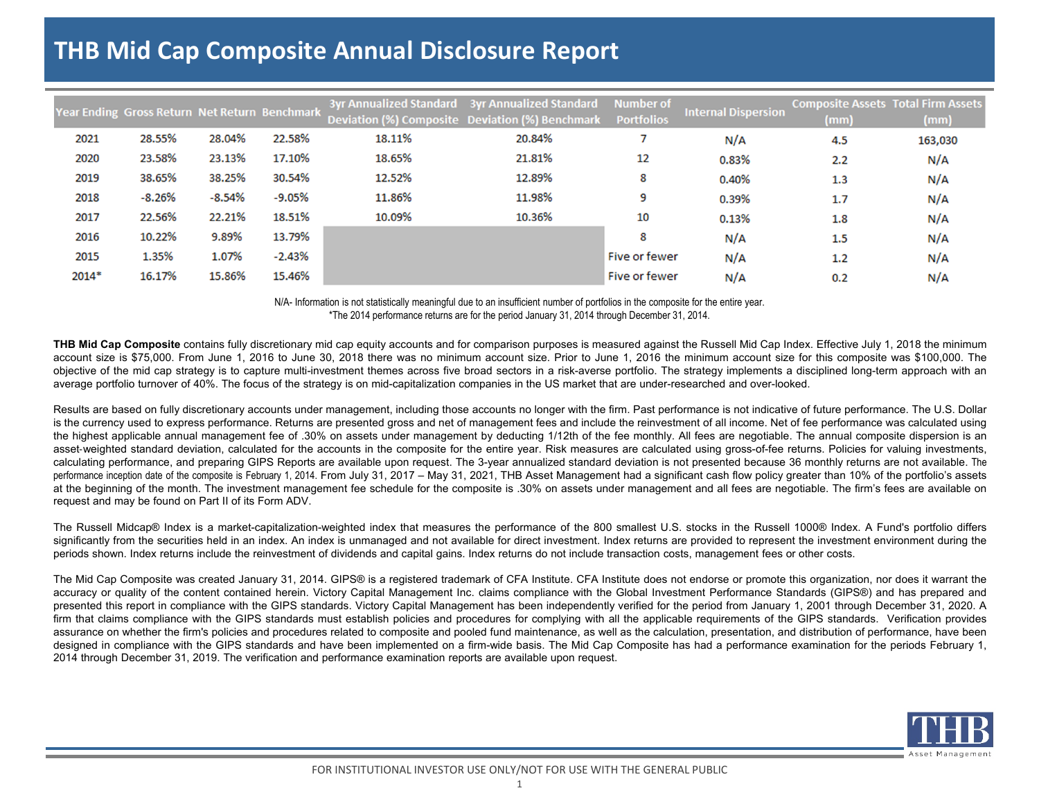## **THB Mid Cap Composite Annual Disclosure Report**

|         | Year Ending Gross Return Net Return Benchmark |          |          |        | 3yr Annualized Standard 3yr Annualized Standard<br>Deviation (%) Composite Deviation (%) Benchmark | <b>Number of</b><br><b>Portfolios</b> | <b>Internal Dispersion</b> | <b>Composite Assets Total Firm Assets</b><br>(mm) | (mm)    |
|---------|-----------------------------------------------|----------|----------|--------|----------------------------------------------------------------------------------------------------|---------------------------------------|----------------------------|---------------------------------------------------|---------|
| 2021    | 28.55%                                        | 28.04%   | 22.58%   | 18.11% | 20.84%                                                                                             |                                       | N/A                        | 4.5                                               | 163,030 |
| 2020    | 23.58%                                        | 23.13%   | 17.10%   | 18.65% | 21.81%                                                                                             | 12                                    | 0.83%                      | 2.2                                               | N/A     |
| 2019    | 38.65%                                        | 38.25%   | 30.54%   | 12.52% | 12.89%                                                                                             | 8                                     | 0.40%                      | 1.3                                               | N/A     |
| 2018    | $-8.26%$                                      | $-8.54%$ | $-9.05%$ | 11.86% | 11.98%                                                                                             | 9                                     | 0.39%                      | 1.7                                               | N/A     |
| 2017    | 22.56%                                        | 22.21%   | 18.51%   | 10.09% | 10.36%                                                                                             | 10                                    | 0.13%                      | 1.8                                               | N/A     |
| 2016    | 10.22%                                        | 9.89%    | 13.79%   |        |                                                                                                    | 8                                     | N/A                        | 1.5                                               | N/A     |
| 2015    | 1.35%                                         | 1.07%    | $-2.43%$ |        |                                                                                                    | <b>Five or fewer</b>                  | N/A                        | 1.2                                               | N/A     |
| $2014*$ | 16.17%                                        | 15.86%   | 15.46%   |        |                                                                                                    | Five or fewer                         | N/A                        | 0.2                                               | N/A     |

N/A- Information is not statistically meaningful due to an insufficient number of portfolios in the composite for the entire year. \*The 2014 performance returns are for the period January 31, 2014 through December 31, 2014.

**THB Mid Cap Composite** contains fully discretionary mid cap equity accounts and for comparison purposes is measured against the Russell Mid Cap Index. Effective July 1, 2018 the minimum account size is \$75,000. From June 1, 2016 to June 30, 2018 there was no minimum account size. Prior to June 1, 2016 the minimum account size for this composite was \$100,000. The objective of the mid cap strategy is to capture multi-investment themes across five broad sectors in <sup>a</sup> risk-averse portfolio. The strategy implements <sup>a</sup> disciplined long-term approach with an average portfolio turnover of 40%. The focus of the strategy is on mid-capitalization companies in the US market that are under-researched and over-looked.

Results are based on fully discretionary accounts under management, including those accounts no longer with the firm. Past performance is not indicative of future performance. The U.S. Dollar is the currency used to express performance. Returns are presented gross and net of management fees and include the reinvestment of all income. Net of fee performance was calculated using the highest applicable annual management fee of .30% on assets under management by deducting 1/12th of the fee monthly. All fees are negotiable. The annual composite dispersion is an asset-weighted standard deviation, calculated for the accounts in the composite for the entire year. Risk measures are calculated using gross-of-fee returns. Policies for valuing investments, calculating performance, and preparing GIPS Reports are available upon request. The 3-year annualized standard deviation is not presented because 36 monthly returns are not available. The performance inception date of the composite is February 1, 2014. From July 31, 2017 - May 31, 2021, THB Asset Management had a significant cash flow policy greater than 10% of the portfolio's assets at the beginning of the month. The investment management fee schedule for the composite is .30% on assets under management and all fees are negotiable. The firm's fees are available on request and may be found on Part II of its Form ADV.

The Russell Midcap® Index is <sup>a</sup> market-capitalization-weighted index that measures the performance of the 800 smallest U.S. stocks in the Russell 1000® Index. A Fund's portfolio differs significantly from the securities held in an index. An index is unmanaged and not available for direct investment. Index returns are provided to represent the investment environment during the periods shown. Index returns include the reinvestment of dividends and capital gains. Index returns do not include transaction costs, management fees or other costs.

The Mid Cap Composite was created January 31, 2014. GIPS® is a registered trademark of CFA Institute. CFA Institute does not endorse or promote this organization, nor does it warrant the accuracy or quality of the content contained herein. Victory Capital Management Inc. claims compliance with the Global Investment Performance Standards (GIPS®) and has prepared and presented this report in compliance with the GIPS standards. Victory Capital Management has been independently verified for the period from January 1, 2001 through December 31, 2020. A firm that claims compliance with the GIPS standards must establish policies and procedures for complying with all the applicable requirements of the GIPS standards. Verification provides assurance on whether the firm's policies and procedures related to composite and pooled fund maintenance, as well as the calculation, presentation, and distribution of performance, have been designed in compliance with the GIPS standards and have been implemented on <sup>a</sup> firm-wide basis. The Mid Cap Composite has had <sup>a</sup> performance examination for the periods February 1, 2014 through December 31, 2019. The verification and performance examination reports are available upon request.